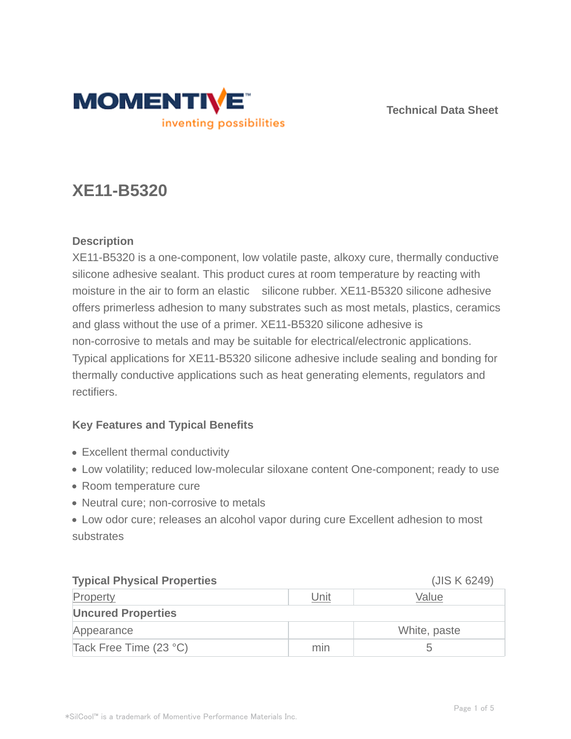

**Technical Data Sheet**

# **XE11-B5320**

# **Description**

XE11-B5320 is a one-component, low volatile paste, alkoxy cure, thermally conductive silicone adhesive sealant. This product cures at room temperature by reacting with moisture in the air to form an elastic silicone rubber. XE11-B5320 silicone adhesive offers primerless adhesion to many substrates such as most metals, plastics, ceramics and glass without the use of a primer. XE11-B5320 silicone adhesive is non-corrosive to metals and may be suitable for electrical/electronic applications. Typical applications for XE11-B5320 silicone adhesive include sealing and bonding for thermally conductive applications such as heat generating elements, regulators and rectifiers.

# **Key Features and Typical Benefits**

- Excellent thermal conductivity
- Low volatility; reduced low-molecular siloxane content One-component; ready to use
- Room temperature cure
- Neutral cure; non-corrosive to metals

Low odor cure; releases an alcohol vapor during cure Excellent adhesion to most substrates

| <b>Typical Physical Properties</b> |      | (JIS K 6249) |  |  |  |
|------------------------------------|------|--------------|--|--|--|
| Property                           | Unit | Value        |  |  |  |
| <b>Uncured Properties</b>          |      |              |  |  |  |
| Appearance                         |      | White, paste |  |  |  |
| Tack Free Time (23 °C)             | min  |              |  |  |  |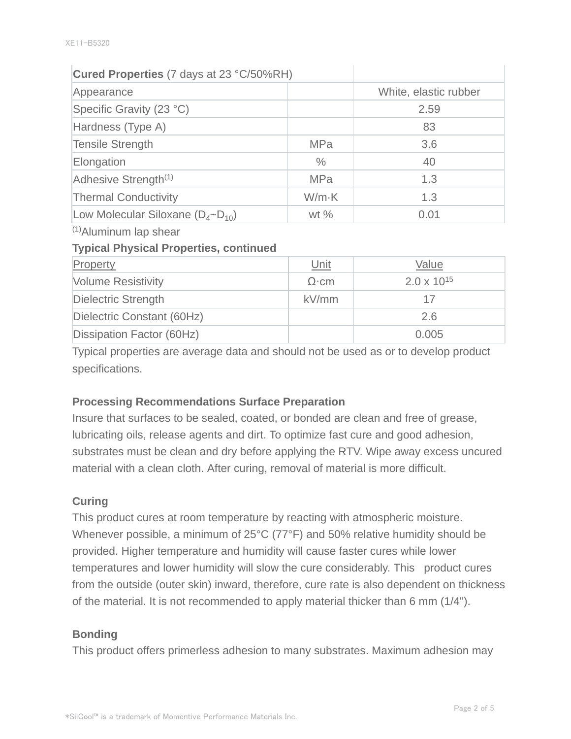## **Cured Properties** (7 days at 23 °C/50%RH)

| Appearance                                |               | White, elastic rubber |
|-------------------------------------------|---------------|-----------------------|
| Specific Gravity (23 °C)                  |               | 2.59                  |
| Hardness (Type A)                         |               | 83                    |
| <b>Tensile Strength</b>                   | <b>MPa</b>    | 3.6                   |
| Elongation                                | $\frac{0}{0}$ | 40                    |
| Adhesive Strength <sup>(1)</sup>          | <b>MPa</b>    | 1.3                   |
| <b>Thermal Conductivity</b>               | $W/m-K$       | 1.3                   |
| Low Molecular Siloxane $(D_4\neg D_{10})$ | wt $%$        | 0.01                  |

(1)Aluminum lap shear

#### **Typical Physical Properties, continued**

| Property                   | <u>Unit</u> | Value                |
|----------------------------|-------------|----------------------|
| <b>Volume Resistivity</b>  | $\Omega$ cm | $2.0 \times 10^{15}$ |
| Dielectric Strength        | kV/mm       | 17                   |
| Dielectric Constant (60Hz) |             | 2.6                  |
| Dissipation Factor (60Hz)  |             | 0.005                |

Typical properties are average data and should not be used as or to develop product specifications.

#### **Processing Recommendations Surface Preparation**

Insure that surfaces to be sealed, coated, or bonded are clean and free of grease, lubricating oils, release agents and dirt. To optimize fast cure and good adhesion, substrates must be clean and dry before applying the RTV. Wipe away excess uncured material with a clean cloth. After curing, removal of material is more difficult.

#### **Curing**

This product cures at room temperature by reacting with atmospheric moisture. Whenever possible, a minimum of 25°C (77°F) and 50% relative humidity should be provided. Higher temperature and humidity will cause faster cures while lower temperatures and lower humidity will slow the cure considerably. This product cures from the outside (outer skin) inward, therefore, cure rate is also dependent on thickness of the material. It is not recommended to apply material thicker than 6 mm (1/4").

#### **Bonding**

This product offers primerless adhesion to many substrates. Maximum adhesion may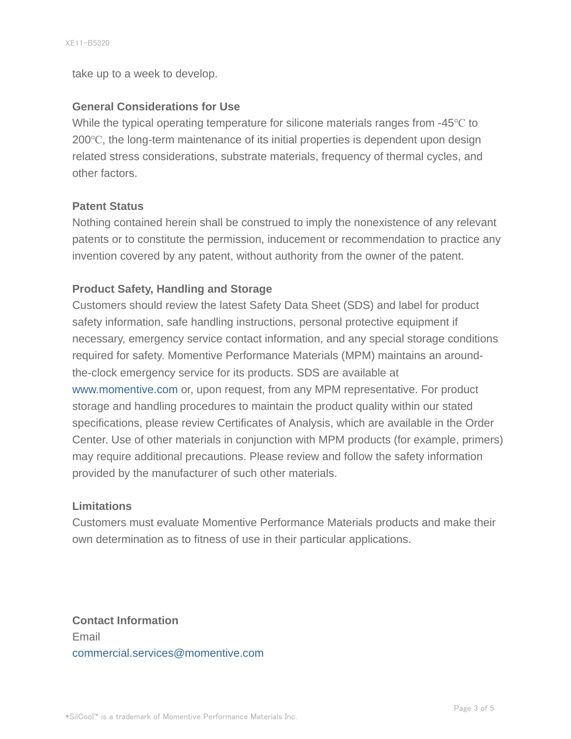take up to a week to develop.

#### **General Considerations for Use**

While the typical operating temperature for silicone materials ranges from -45℃ to 200℃, the long-term maintenance of its initial properties is dependent upon design related stress considerations, substrate materials, frequency of thermal cycles, and other factors.

#### **Patent Status**

Nothing contained herein shall be construed to imply the nonexistence of any relevant patents or to constitute the permission, inducement or recommendation to practice any invention covered by any patent, without authority from the owner of the patent.

## **Product Safety, Handling and Storage**

Customers should review the latest Safety Data Sheet (SDS) and label for product safety information, safe handling instructions, personal protective equipment if necessary, emergency service contact information, and any special storage conditions required for safety. Momentive Performance Materials (MPM) maintains an aroundthe-clock emergency service for its products. SDS are available at www.momentive.com or, upon request, from any MPM representative. For product storage and handling procedures to maintain the product quality within our stated specifications, please review Certificates of Analysis, which are available in the Order Center. Use of other materials in conjunction with MPM products (for example, primers) may require additional precautions. Please review and follow the safety information provided by the manufacturer of such other materials.

#### **Limitations**

Customers must evaluate Momentive Performance Materials products and make their own determination as to fitness of use in their particular applications.

**Contact Information** Email commercial.services@momentive.com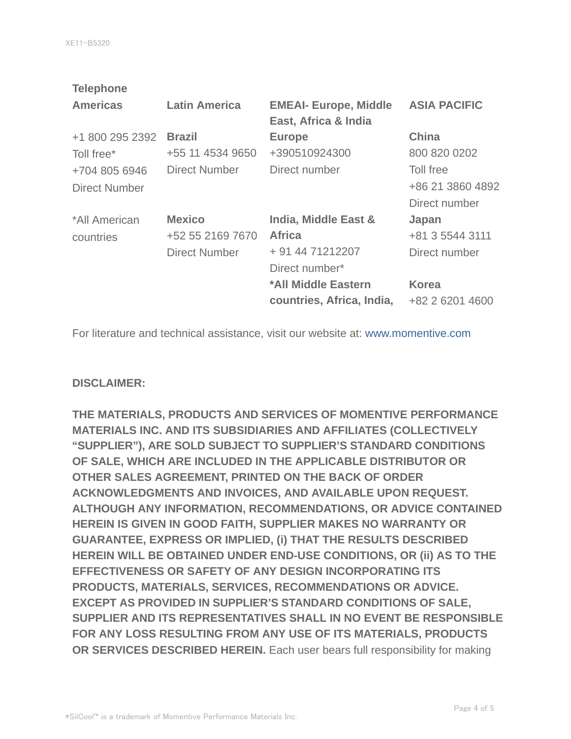| <b>Telephone</b>     |                      |                                                      |                     |
|----------------------|----------------------|------------------------------------------------------|---------------------|
| <b>Americas</b>      | <b>Latin America</b> | <b>EMEAI- Europe, Middle</b><br>East, Africa & India | <b>ASIA PACIFIC</b> |
| +1 800 295 2392      | <b>Brazil</b>        | <b>Europe</b>                                        | <b>China</b>        |
| Toll free*           | +55 11 4534 9650     | +390510924300                                        | 800 820 0202        |
| +704 805 6946        | <b>Direct Number</b> | Direct number                                        | Toll free           |
| <b>Direct Number</b> |                      |                                                      | +86 21 3860 4892    |
|                      |                      |                                                      | Direct number       |
| *All American        | <b>Mexico</b>        | India, Middle East &                                 | Japan               |
| countries            | +52 55 2169 7670     | <b>Africa</b>                                        | +81 3 5544 3111     |
|                      | <b>Direct Number</b> | + 91 44 71212207                                     | Direct number       |
|                      |                      | Direct number*                                       |                     |
|                      |                      | *All Middle Eastern                                  | <b>Korea</b>        |
|                      |                      | countries, Africa, India,                            | +82 2 6201 4600     |
|                      |                      |                                                      |                     |

For literature and technical assistance, visit our website at: www.momentive.com

#### **DISCLAIMER:**

**THE MATERIALS, PRODUCTS AND SERVICES OF MOMENTIVE PERFORMANCE MATERIALS INC. AND ITS SUBSIDIARIES AND AFFILIATES (COLLECTIVELY "SUPPLIER"), ARE SOLD SUBJECT TO SUPPLIER'S STANDARD CONDITIONS OF SALE, WHICH ARE INCLUDED IN THE APPLICABLE DISTRIBUTOR OR OTHER SALES AGREEMENT, PRINTED ON THE BACK OF ORDER ACKNOWLEDGMENTS AND INVOICES, AND AVAILABLE UPON REQUEST. ALTHOUGH ANY INFORMATION, RECOMMENDATIONS, OR ADVICE CONTAINED HEREIN IS GIVEN IN GOOD FAITH, SUPPLIER MAKES NO WARRANTY OR GUARANTEE, EXPRESS OR IMPLIED, (i) THAT THE RESULTS DESCRIBED HEREIN WILL BE OBTAINED UNDER END-USE CONDITIONS, OR (ii) AS TO THE EFFECTIVENESS OR SAFETY OF ANY DESIGN INCORPORATING ITS PRODUCTS, MATERIALS, SERVICES, RECOMMENDATIONS OR ADVICE. EXCEPT AS PROVIDED IN SUPPLIER'S STANDARD CONDITIONS OF SALE, SUPPLIER AND ITS REPRESENTATIVES SHALL IN NO EVENT BE RESPONSIBLE FOR ANY LOSS RESULTING FROM ANY USE OF ITS MATERIALS, PRODUCTS OR SERVICES DESCRIBED HEREIN.** Each user bears full responsibility for making